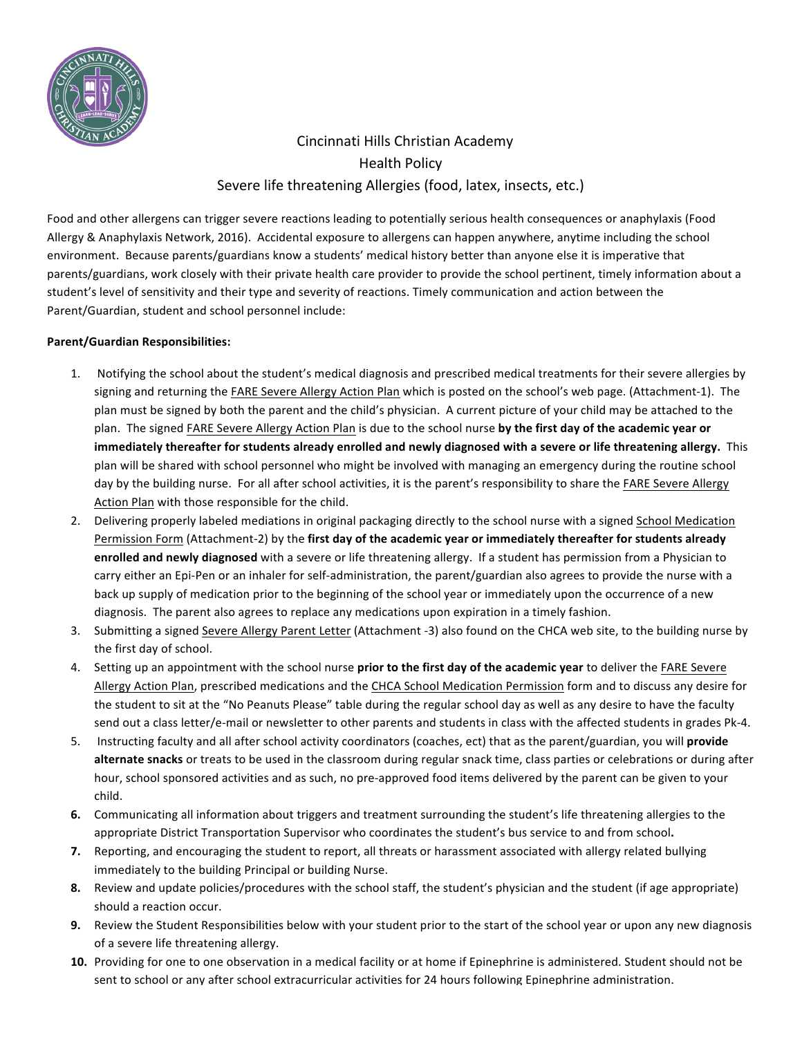

# Cincinnati Hills Christian Academy Health Policy Severe life threatening Allergies (food, latex, insects, etc.)

Food and other allergens can trigger severe reactions leading to potentially serious health consequences or anaphylaxis (Food Allergy & Anaphylaxis Network, 2016). Accidental exposure to allergens can happen anywhere, anytime including the school environment. Because parents/guardians know a students' medical history better than anyone else it is imperative that parents/guardians, work closely with their private health care provider to provide the school pertinent, timely information about a student's level of sensitivity and their type and severity of reactions. Timely communication and action between the Parent/Guardian, student and school personnel include:

## **Parent/Guardian Responsibilities:**

- 1. Notifying the school about the student's medical diagnosis and prescribed medical treatments for their severe allergies by signing and returning the FARE Severe Allergy Action Plan which is posted on the school's web page. (Attachment-1). The plan must be signed by both the parent and the child's physician. A current picture of your child may be attached to the plan. The signed FARE Severe Allergy Action Plan is due to the school nurse by the first day of the academic year or immediately thereafter for students already enrolled and newly diagnosed with a severe or life threatening allergy. This plan will be shared with school personnel who might be involved with managing an emergency during the routine school day by the building nurse. For all after school activities, it is the parent's responsibility to share the FARE Severe Allergy Action Plan with those responsible for the child.
- 2. Delivering properly labeled mediations in original packaging directly to the school nurse with a signed School Medication Permission Form (Attachment-2) by the first day of the academic year or immediately thereafter for students already **enrolled and newly diagnosed** with a severe or life threatening allergy. If a student has permission from a Physician to carry either an Epi-Pen or an inhaler for self-administration, the parent/guardian also agrees to provide the nurse with a back up supply of medication prior to the beginning of the school year or immediately upon the occurrence of a new diagnosis. The parent also agrees to replace any medications upon expiration in a timely fashion.
- 3. Submitting a signed Severe Allergy Parent Letter (Attachment -3) also found on the CHCA web site, to the building nurse by the first day of school.
- 4. Setting up an appointment with the school nurse **prior to the first day of the academic year** to deliver the FARE Severe Allergy Action Plan, prescribed medications and the CHCA School Medication Permission form and to discuss any desire for the student to sit at the "No Peanuts Please" table during the regular school day as well as any desire to have the faculty send out a class letter/e-mail or newsletter to other parents and students in class with the affected students in grades Pk-4.
- 5. Instructing faculty and all after school activity coordinators (coaches, ect) that as the parent/guardian, you will *provide* alternate snacks or treats to be used in the classroom during regular snack time, class parties or celebrations or during after hour, school sponsored activities and as such, no pre-approved food items delivered by the parent can be given to your child.
- **6.** Communicating all information about triggers and treatment surrounding the student's life threatening allergies to the appropriate District Transportation Supervisor who coordinates the student's bus service to and from school.
- **7.** Reporting, and encouraging the student to report, all threats or harassment associated with allergy related bullying immediately to the building Principal or building Nurse.
- **8.** Review and update policies/procedures with the school staff, the student's physician and the student (if age appropriate) should a reaction occur.
- **9.** Review the Student Responsibilities below with your student prior to the start of the school year or upon any new diagnosis of a severe life threatening allergy.
- **10.** Providing for one to one observation in a medical facility or at home if Epinephrine is administered. Student should not be sent to school or any after school extracurricular activities for 24 hours following Epinephrine administration.